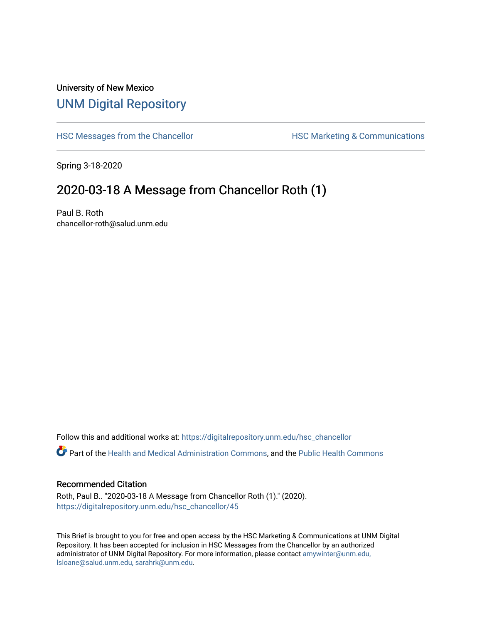## University of New Mexico [UNM Digital Repository](https://digitalrepository.unm.edu/)

[HSC Messages from the Chancellor](https://digitalrepository.unm.edu/hsc_chancellor) **HSC Marketing & Communications** 

Spring 3-18-2020

## 2020-03-18 A Message from Chancellor Roth (1)

Paul B. Roth chancellor-roth@salud.unm.edu

Follow this and additional works at: [https://digitalrepository.unm.edu/hsc\\_chancellor](https://digitalrepository.unm.edu/hsc_chancellor?utm_source=digitalrepository.unm.edu%2Fhsc_chancellor%2F45&utm_medium=PDF&utm_campaign=PDFCoverPages) 

Part of the [Health and Medical Administration Commons](http://network.bepress.com/hgg/discipline/663?utm_source=digitalrepository.unm.edu%2Fhsc_chancellor%2F45&utm_medium=PDF&utm_campaign=PDFCoverPages), and the [Public Health Commons](http://network.bepress.com/hgg/discipline/738?utm_source=digitalrepository.unm.edu%2Fhsc_chancellor%2F45&utm_medium=PDF&utm_campaign=PDFCoverPages) 

## Recommended Citation

Roth, Paul B.. "2020-03-18 A Message from Chancellor Roth (1)." (2020). [https://digitalrepository.unm.edu/hsc\\_chancellor/45](https://digitalrepository.unm.edu/hsc_chancellor/45?utm_source=digitalrepository.unm.edu%2Fhsc_chancellor%2F45&utm_medium=PDF&utm_campaign=PDFCoverPages)

This Brief is brought to you for free and open access by the HSC Marketing & Communications at UNM Digital Repository. It has been accepted for inclusion in HSC Messages from the Chancellor by an authorized administrator of UNM Digital Repository. For more information, please contact [amywinter@unm.edu,](mailto:amywinter@unm.edu,%20lsloane@salud.unm.edu,%20sarahrk@unm.edu) [lsloane@salud.unm.edu, sarahrk@unm.edu.](mailto:amywinter@unm.edu,%20lsloane@salud.unm.edu,%20sarahrk@unm.edu)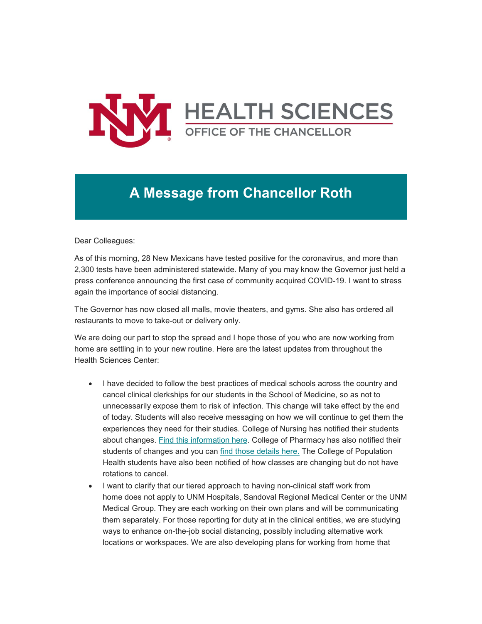

## **A Message from Chancellor Roth**

Dear Colleagues:

As of this morning, 28 New Mexicans have tested positive for the coronavirus, and more than 2,300 tests have been administered statewide. Many of you may know the Governor just held a press conference announcing the first case of community acquired COVID-19. I want to stress again the importance of social distancing.

The Governor has now closed all malls, movie theaters, and gyms. She also has ordered all restaurants to move to take-out or delivery only.

We are doing our part to stop the spread and I hope those of you who are now working from home are settling in to your new routine. Here are the latest updates from throughout the Health Sciences Center:

- I have decided to follow the best practices of medical schools across the country and cancel clinical clerkships for our students in the School of Medicine, so as not to unnecessarily expose them to risk of infection. This change will take effect by the end of today. Students will also receive messaging on how we will continue to get them the experiences they need for their studies. College of Nursing has notified their students about changes. [Find this information here.](https://unm.us19.list-manage.com/track/click?u=59ce53c1a4dedb490bac78648&id=9364caed65&e=b4bbfca2c0) College of Pharmacy has also notified their students of changes and you can [find those details here.](https://unm.us19.list-manage.com/track/click?u=59ce53c1a4dedb490bac78648&id=e4fbc1caba&e=b4bbfca2c0) The College of Population Health students have also been notified of how classes are changing but do not have rotations to cancel.
- I want to clarify that our tiered approach to having non-clinical staff work from home does not apply to UNM Hospitals, Sandoval Regional Medical Center or the UNM Medical Group. They are each working on their own plans and will be communicating them separately. For those reporting for duty at in the clinical entities, we are studying ways to enhance on-the-job social distancing, possibly including alternative work locations or workspaces. We are also developing plans for working from home that